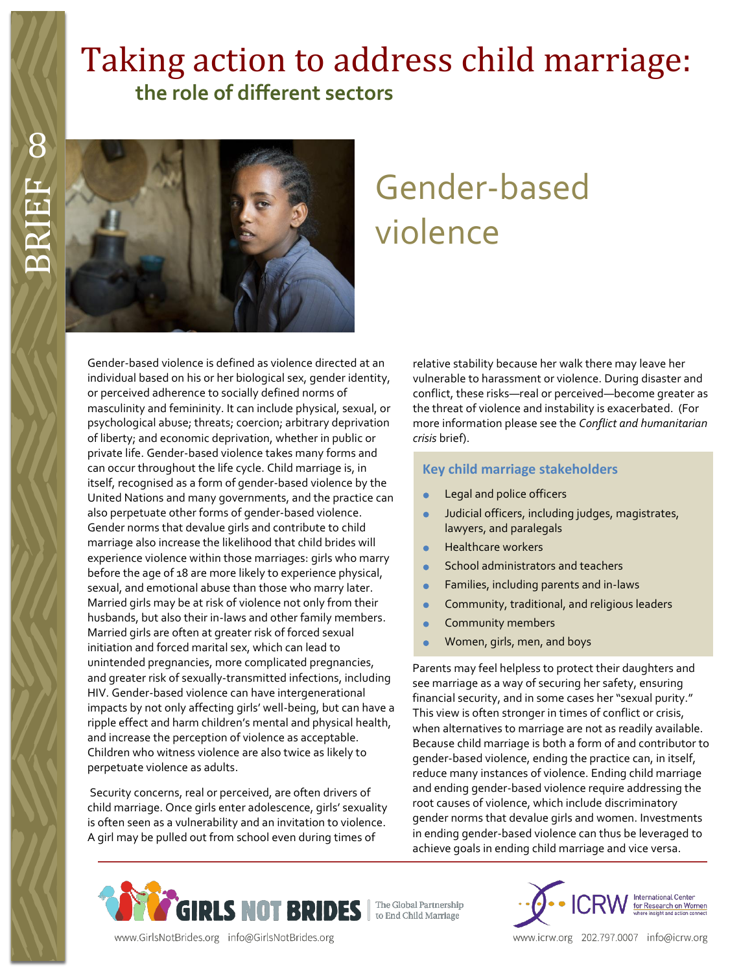# Taking action to address child marriage:  **the role of different sectors**



# Gender-based violence

Gender-based violence is defined as violence directed at an individual based on his or her biological sex, gender identity, or perceived adherence to socially defined norms of masculinity and femininity. It can include physical, sexual, or psychological abuse; threats; coercion; arbitrary deprivation of liberty; and economic deprivation, whether in public or private life. Gender-based violence takes many forms and can occur throughout the life cycle. Child marriage is, in itself, recognised as a form of gender-based violence by the United Nations and many governments, and the practice can also perpetuate other forms of gender-based violence. Gender norms that devalue girls and contribute to child marriage also increase the likelihood that child brides will experience violence within those marriages: girls who marry before the age of 18 are more likely to experience physical, sexual, and emotional abuse than those who marry later. Married girls may be at risk of violence not only from their husbands, but also their in-laws and other family members. Married girls are often at greater risk of forced sexual initiation and forced marital sex, which can lead to unintended pregnancies, more complicated pregnancies, and greater risk of sexually-transmitted infections, including HIV. Gender-based violence can have intergenerational impacts by not only affecting girls' well-being, but can have a ripple effect and harm children's mental and physical health, and increase the perception of violence as acceptable. Children who witness violence are also twice as likely to perpetuate violence as adults.

Security concerns, real or perceived, are often drivers of child marriage. Once girls enter adolescence, girls' sexuality is often seen as a vulnerability and an invitation to violence. A girl may be pulled out from school even during times of

relative stability because her walk there may leave her vulnerable to harassment or violence. During disaster and conflict, these risks—real or perceived—become greater as the threat of violence and instability is exacerbated. (For more information please see the *Conflict and humanitarian crisis* brief).

#### **Key child marriage stakeholders**

- Legal and police officers
- Judicial officers, including judges, magistrates, lawyers, and paralegals
- Healthcare workers
- School administrators and teachers
- Families, including parents and in-laws
- Community, traditional, and religious leaders
- Community members
- Women, girls, men, and boys

Parents may feel helpless to protect their daughters and see marriage as a way of securing her safety, ensuring financial security, and in some cases her "sexual purity." This view is often stronger in times of conflict or crisis, when alternatives to marriage are not as readily available. Because child marriage is both a form of and contributor to gender-based violence, ending the practice can, in itself, reduce many instances of violence. Ending child marriage and ending gender-based violence require addressing the root causes of violence, which include discriminatory gender norms that devalue girls and women. Investments in ending gender-based violence can thus be leveraged to achieve goals in ending child marriage and vice versa.





www.icrw.org 202.797.0007 info@icrw.org

www.GirlsNotBrides.org info@GirlsNotBrides.org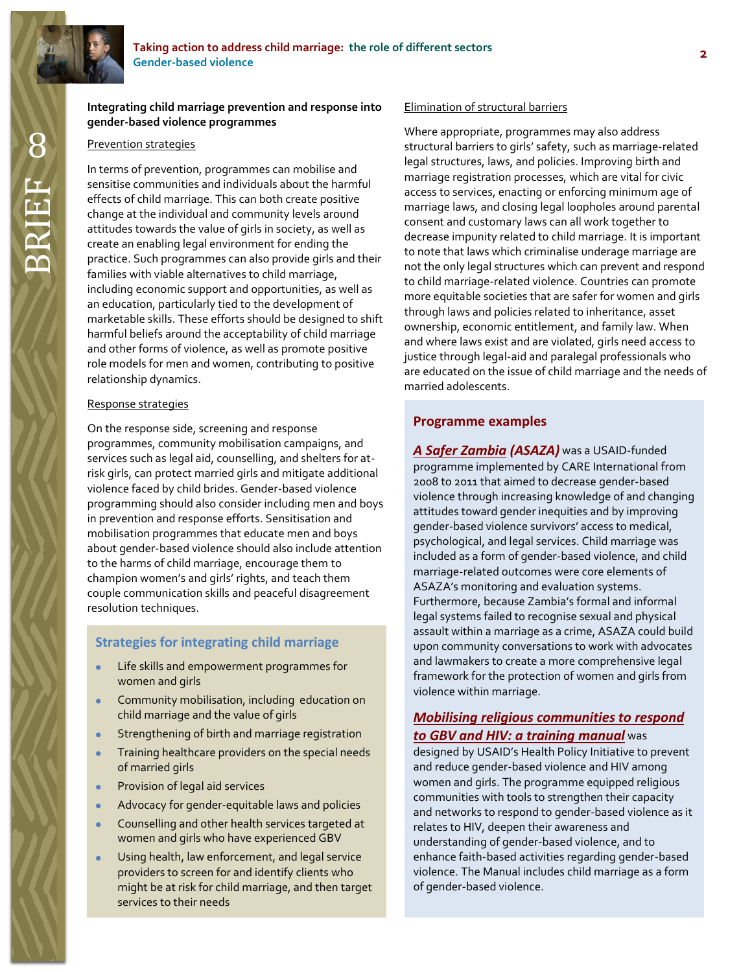#### 8**Integrating child marriage prevention and response into gender-based violence programmes**

#### Prevention strategies

In terms of prevention, programmes can mobilise and sensitise communities and individuals about the harmful effects of child marriage. This can both create positive change at the individual and community levels around attitudes towards the value of girls in society, as well as create an enabling legal environment for ending the practice. Such programmes can also provide girls and their families with viable alternatives to child marriage, including economic support and opportunities, as well as an education, particularly tied to the development of marketable skills. These efforts should be designed to shift harmful beliefs around the acceptability of child marriage and other forms of violence, as well as promote positive role models for men and women, contributing to positive relationship dynamics.

#### Response strategies

On the response side, screening and response programmes, community mobilisation campaigns, and services such as legal aid, counselling, and shelters for atrisk girls, can protect married girls and mitigate additional violence faced by child brides. Gender-based violence programming should also consider including men and boys in prevention and response efforts. Sensitisation and mobilisation programmes that educate men and boys about gender-based violence should also include attention to the harms of child marriage, encourage them to champion women's and girls' rights, and teach them couple communication skills and peaceful disagreement resolution techniques.

# **Strategies for integrating child marriage**

- Life skills and empowerment programmes for women and girls
- **•** Community mobilisation, including education on child marriage and the value of girls
- **Strengthening of birth and marriage registration**
- **•** Training healthcare providers on the special needs of married girls
- **•** Provision of legal aid services
- Advocacy for gender-equitable laws and policies
- **Counselling and other health services targeted at** women and girls who have experienced GBV
- Using health, law enforcement, and legal service providers to screen for and identify clients who might be at risk for child marriage, and then target services to their needs

#### Elimination of structural barriers

Where appropriate, programmes may also address structural barriers to girls' safety, such as marriage-related legal structures, laws, and policies. Improving birth and marriage registration processes, which are vital for civic access to services, enacting or enforcing minimum age of marriage laws, and closing legal loopholes around parental consent and customary laws can all work together to decrease impunity related to child marriage. It is important to note that laws which criminalise underage marriage are not the only legal structures which can prevent and respond to child marriage-related violence. Countries can promote more equitable societies that are safer for women and girls through laws and policies related to inheritance, asset ownership, economic entitlement, and family law. When and where laws exist and are violated, girls need access to justice through legal-aid and paralegal professionals who are educated on the issue of child marriage and the needs of married adolescents.

# **Programme examples**

*[A Safer Zambia](https://www.k4health.org/sites/default/files/Zambia_GBV_Programming_Evaluation_Aug-2010.pdf) (ASAZA)* was a USAID-funded programme implemented by CARE International from 2008 to 2011 that aimed to decrease gender-based violence through increasing knowledge of and changing attitudes toward gender inequities and by improving gender-based violence survivors' access to medical, psychological, and legal services. Child marriage was included as a form of gender-based violence, and child marriage-related outcomes were core elements of ASAZA's monitoring and evaluation systems. Furthermore, because Zambia's formal and informal legal systems failed to recognise sexual and physical assault within a marriage as a crime, ASAZA could build upon community conversations to work with advocates and lawmakers to create a more comprehensive legal framework for the protection of women and girls from violence within marriage.

# *[Mobilising religious communities to respond](http://www.healthpolicyinitiative.com/Publications/Documents/1020_1_FBO_GBV_Training_Manual_FINAL_1_27_10_acc.pdf)  [to GBV and HIV: a](http://www.healthpolicyinitiative.com/Publications/Documents/1020_1_FBO_GBV_Training_Manual_FINAL_1_27_10_acc.pdf) training manual* was

designed by USAID's Health Policy Initiative to prevent and reduce gender-based violence and HIV among women and girls. The programme equipped religious communities with tools to strengthen their capacity and networks to respond to gender-based violence as it relates to HIV, deepen their awareness and understanding of gender-based violence, and to enhance faith-based activities regarding gender-based violence. The Manual includes child marriage as a form of gender-based violence.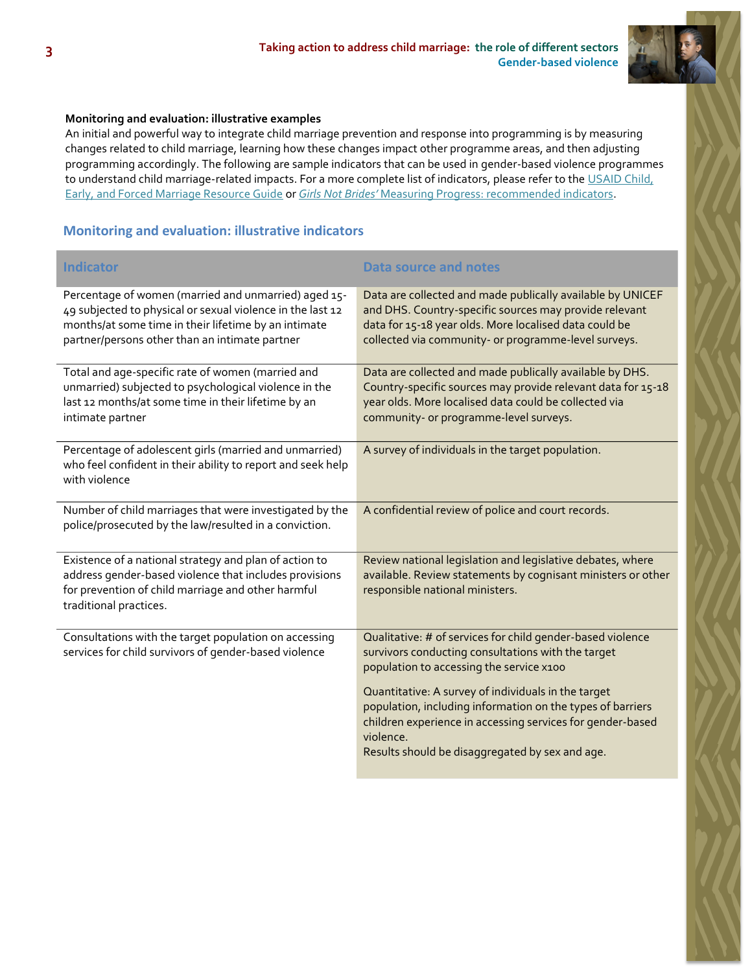

# **Monitoring and evaluation: illustrative examples**

An initial and powerful way to integrate child marriage prevention and response into programming is by measuring changes related to child marriage, learning how these changes impact other programme areas, and then adjusting programming accordingly. The following are sample indicators that can be used in gender-based violence programmes to understand child marriage-related impacts. For a more complete list of indicators, please refer to the USAID Child, [Early, and Forced Marriage Resource Guide](https://www.usaid.gov/what-we-do/gender-equality-and-womens-empowerment/child-marriage) or *Girls Not Brides'* [Measuring Progress:](http://www.girlsnotbrides.org/these-indicators-will-help-measure-your-progress-towards-ending-child-marriage/) recommended indicators.

# **Monitoring and evaluation: illustrative indicators**

| <b>Indicator</b>                                                                                                                                                                                                             | Data source and notes                                                                                                                                                                                                                           |
|------------------------------------------------------------------------------------------------------------------------------------------------------------------------------------------------------------------------------|-------------------------------------------------------------------------------------------------------------------------------------------------------------------------------------------------------------------------------------------------|
| Percentage of women (married and unmarried) aged 15-<br>49 subjected to physical or sexual violence in the last 12<br>months/at some time in their lifetime by an intimate<br>partner/persons other than an intimate partner | Data are collected and made publically available by UNICEF<br>and DHS. Country-specific sources may provide relevant<br>data for 15-18 year olds. More localised data could be<br>collected via community- or programme-level surveys.          |
| Total and age-specific rate of women (married and<br>unmarried) subjected to psychological violence in the<br>last 12 months/at some time in their lifetime by an<br>intimate partner                                        | Data are collected and made publically available by DHS.<br>Country-specific sources may provide relevant data for 15-18<br>year olds. More localised data could be collected via<br>community- or programme-level surveys.                     |
| Percentage of adolescent girls (married and unmarried)<br>who feel confident in their ability to report and seek help<br>with violence                                                                                       | A survey of individuals in the target population.                                                                                                                                                                                               |
| Number of child marriages that were investigated by the<br>police/prosecuted by the law/resulted in a conviction.                                                                                                            | A confidential review of police and court records.                                                                                                                                                                                              |
| Existence of a national strategy and plan of action to<br>address gender-based violence that includes provisions<br>for prevention of child marriage and other harmful<br>traditional practices.                             | Review national legislation and legislative debates, where<br>available. Review statements by cognisant ministers or other<br>responsible national ministers.                                                                                   |
| Consultations with the target population on accessing<br>services for child survivors of gender-based violence                                                                                                               | Qualitative: # of services for child gender-based violence<br>survivors conducting consultations with the target<br>population to accessing the service x100                                                                                    |
|                                                                                                                                                                                                                              | Quantitative: A survey of individuals in the target<br>population, including information on the types of barriers<br>children experience in accessing services for gender-based<br>violence.<br>Results should be disaggregated by sex and age. |